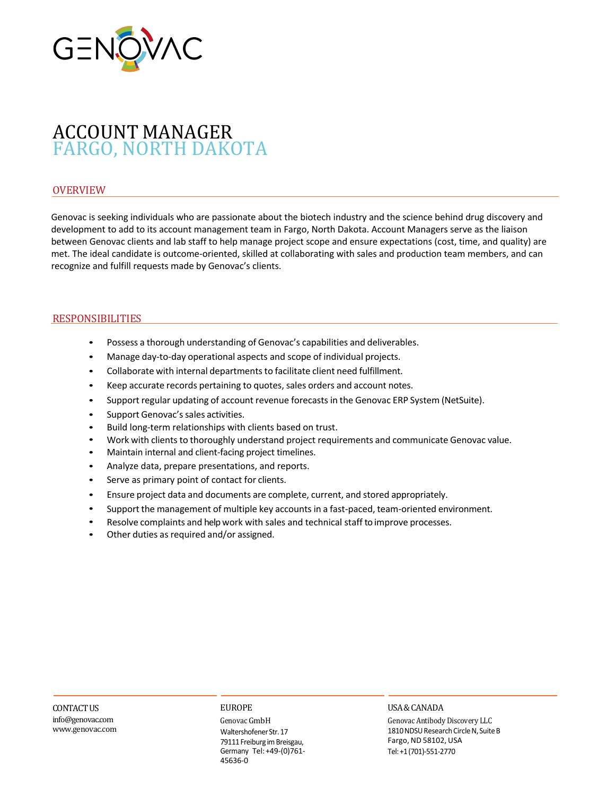

# ACCOUNT MANAGER FARGO, NORTH DAKOTA

# OVERVIEW

Genovac is seeking individuals who are passionate about the biotech industry and the science behind drug discovery and development to add to its account management team in Fargo, North Dakota. Account Managers serve as the liaison between Genovac clients and lab staff to help manage project scope and ensure expectations (cost, time, and quality) are met. The ideal candidate is outcome-oriented, skilled at collaborating with sales and production team members, and can recognize and fulfill requests made by Genovac's clients.

## RESPONSIBILITIES

- Possess a thorough understanding of Genovac's capabilities and deliverables.
- Manage day-to-day operational aspects and scope of individual projects.
- Collaborate with internal departments to facilitate client need fulfillment.
- Keep accurate records pertaining to quotes, sales orders and account notes.
- Support regular updating of account revenue forecasts in the Genovac ERP System (NetSuite).
- Support Genovac's sales activities.
- Build long-term relationships with clients based on trust.
- Work with clients to thoroughly understand project requirements and communicate Genovac value.
- Maintain internal and client-facing project timelines.
- Analyze data, prepare presentations, and reports.
- Serve as primary point of contact for clients.
- Ensure project data and documents are complete, current, and stored appropriately.
- Support the management of multiple key accounts in a fast-paced, team-oriented environment.
- Resolve complaints and help work with sales and technical staff to improve processes.
- Other duties as required and/or assigned.

## CONTACTUS

info@genovac.com www.genovac.com

## EUROPE

Genovac GmbH Waltershofener Str. 17 79111 Freiburg im Breisgau, Germany Tel:+49-(0)761- 45636-0

## USA&CANADA

Genovac Antibody Discovery LLC 1810 NDSU Research Circle N, Suite B Fargo, ND 58102, USA Tel:+1(701)-551-2770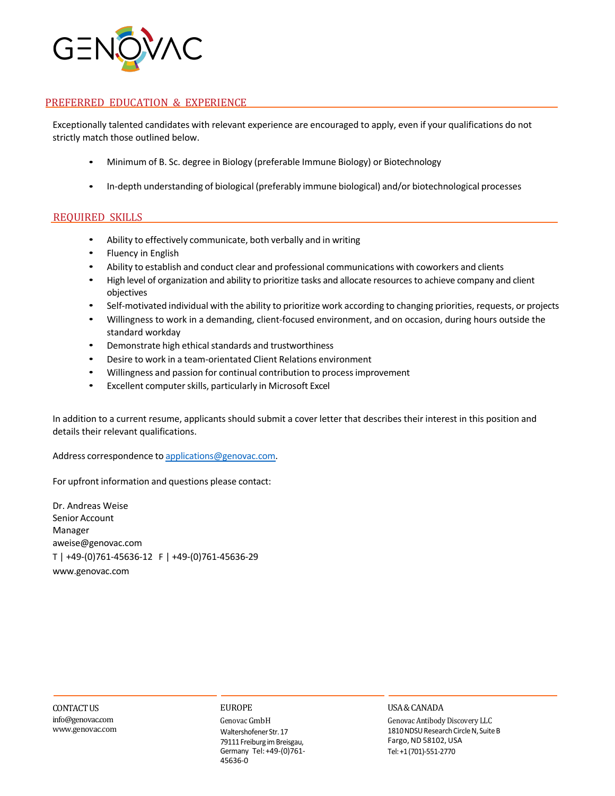

# PREFERRED EDUCATION & EXPERIENCE

Exceptionally talented candidates with relevant experience are encouraged to apply, even if your qualifications do not strictly match those outlined below.

- Minimum of B. Sc. degree in Biology (preferable Immune Biology) or Biotechnology
- In-depth understanding of biological (preferably immune biological) and/or biotechnological processes

## REQUIRED SKILLS

- Ability to effectively communicate, both verbally and in writing
- Fluency in English
- Ability to establish and conduct clear and professional communications with coworkers and clients
- High level of organization and ability to prioritize tasks and allocate resourcesto achieve company and client objectives
- Self-motivated individual with the ability to prioritize work according to changing priorities, requests, or projects
- Willingness to work in a demanding, client-focused environment, and on occasion, during hours outside the standard workday
- Demonstrate high ethical standards and trustworthiness
- Desire to work in a team-orientated Client Relations environment
- Willingness and passion for continual contribution to processimprovement
- Excellent computer skills, particularly in Microsoft Excel

In addition to a current resume, applicants should submit a cover letter that describes their interest in this position and details their relevant qualifications.

Address correspondence to applications@genovac.com.

For upfront information and questions please contact:

Dr. Andreas Weise Senior Account Manager aweise@genovac.com T | +49-(0)761-45636-12 F | +49-(0)761-45636-29 www.genovac.com

CONTACTUS info@genovac.com www.genovac.com

#### EUROPE

Genovac GmbH Waltershofener Str. 17 79111 Freiburg im Breisgau, Germany Tel:+49-(0)761- 45636-0

#### USA&CANADA

Genovac Antibody Discovery LLC 1810 NDSU Research Circle N, Suite B Fargo, ND 58102, USA Tel:+1(701)-551-2770